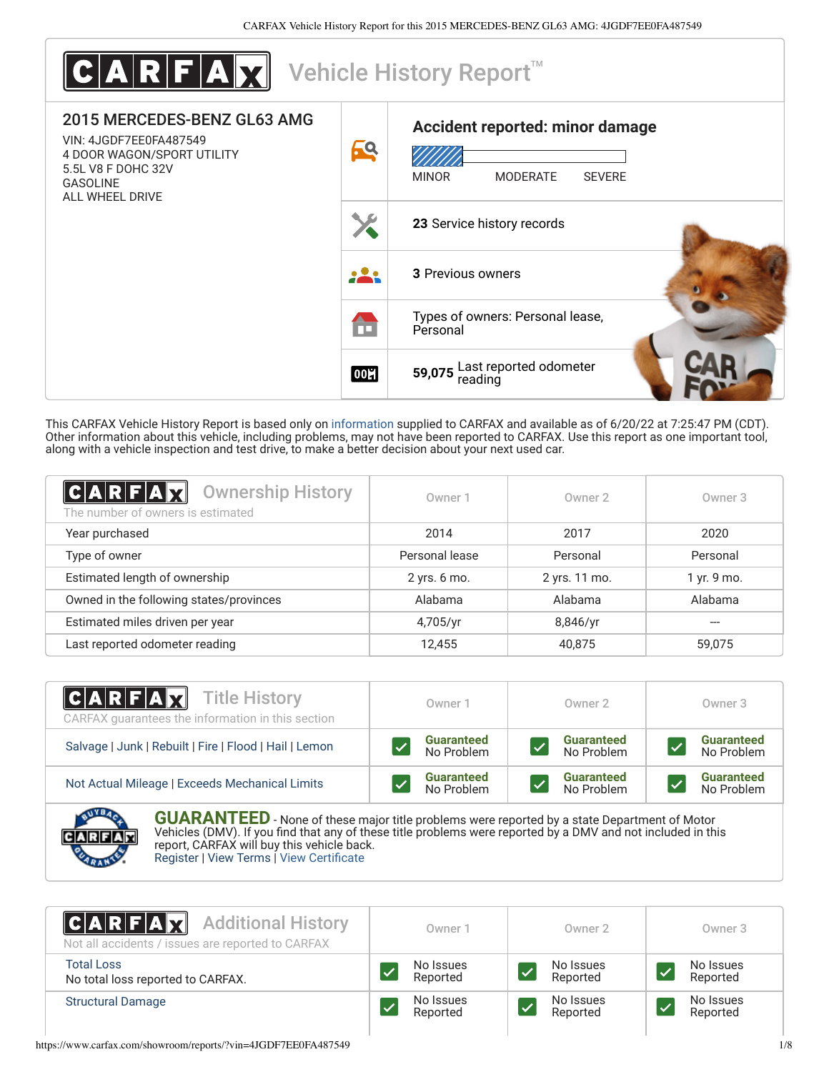

This CARFAX Vehicle History Report is based only on [information](http://www.carfax.com/company/vhr-data-sources) supplied to CARFAX and available as of 6/20/22 at 7:25:47 PM (CDT). Other information about this vehicle, including problems, may not have been reported to CARFAX. Use this report as one important tool, along with a vehicle inspection and test drive, to make a better decision about your next used car.

<span id="page-0-1"></span>

| C A R F A X <br><b>Ownership History</b><br>The number of owners is estimated | Owner 1          | Owner 2       | Owner <sub>3</sub> |
|-------------------------------------------------------------------------------|------------------|---------------|--------------------|
| Year purchased                                                                | 2014             | 2017          | 2020               |
| Type of owner                                                                 | Personal lease   | Personal      | Personal           |
| Estimated length of ownership                                                 | $2$ yrs. $6$ mo. | 2 yrs. 11 mo. | 1 yr. 9 mo.        |
| Owned in the following states/provinces                                       | Alabama          | Alabama       | Alabama            |
| Estimated miles driven per year                                               | 4,705/yr         | 8,846/yr      | $---$              |
| Last reported odometer reading                                                | 12,455           | 40.875        | 59.075             |

| <b>CARFAX</b> Title History<br>CARFAX quarantees the information in this section | Owner 1           | Owner 2           | Owner 3           |
|----------------------------------------------------------------------------------|-------------------|-------------------|-------------------|
| Salvage   Junk   Rebuilt   Fire   Flood   Hail   Lemon                           | <b>Guaranteed</b> | <b>Guaranteed</b> | <b>Guaranteed</b> |
|                                                                                  | No Problem        | No Problem        | No Problem        |
| Not Actual Mileage   Exceeds Mechanical Limits                                   | <b>Guaranteed</b> | <b>Guaranteed</b> | <b>Guaranteed</b> |
|                                                                                  | No Problem        | No Problem        | No Problem        |



**GUARANTEED** - None of these major title problems were reported by a state Department of Motor Vehicles (DMV). If you find that any of these title problems were reported by a DMV and not included in this report, CARFAX will buy this vehicle back. [Register](https://www.carfax.com/Service/bbg) | [View Terms](https://www.carfax.com/company/carfax-buyback-guarantee-terms-and-conditions) | [View Certificate](https://www.carfax.com/showroom/reports/?vin=4JGDF7EE0FA487549)

<span id="page-0-0"></span>

| <b>CARFAX</b> Additional History<br>Not all accidents / issues are reported to CARFAX | Owner 1               | Owner 2               | Owner 3               |
|---------------------------------------------------------------------------------------|-----------------------|-----------------------|-----------------------|
| <b>Total Loss</b><br>No total loss reported to CARFAX.                                | No Issues<br>Reported | No Issues<br>Reported | No Issues<br>Reported |
| <b>Structural Damage</b>                                                              | No Issues<br>Reported | No Issues<br>Reported | No Issues<br>Reported |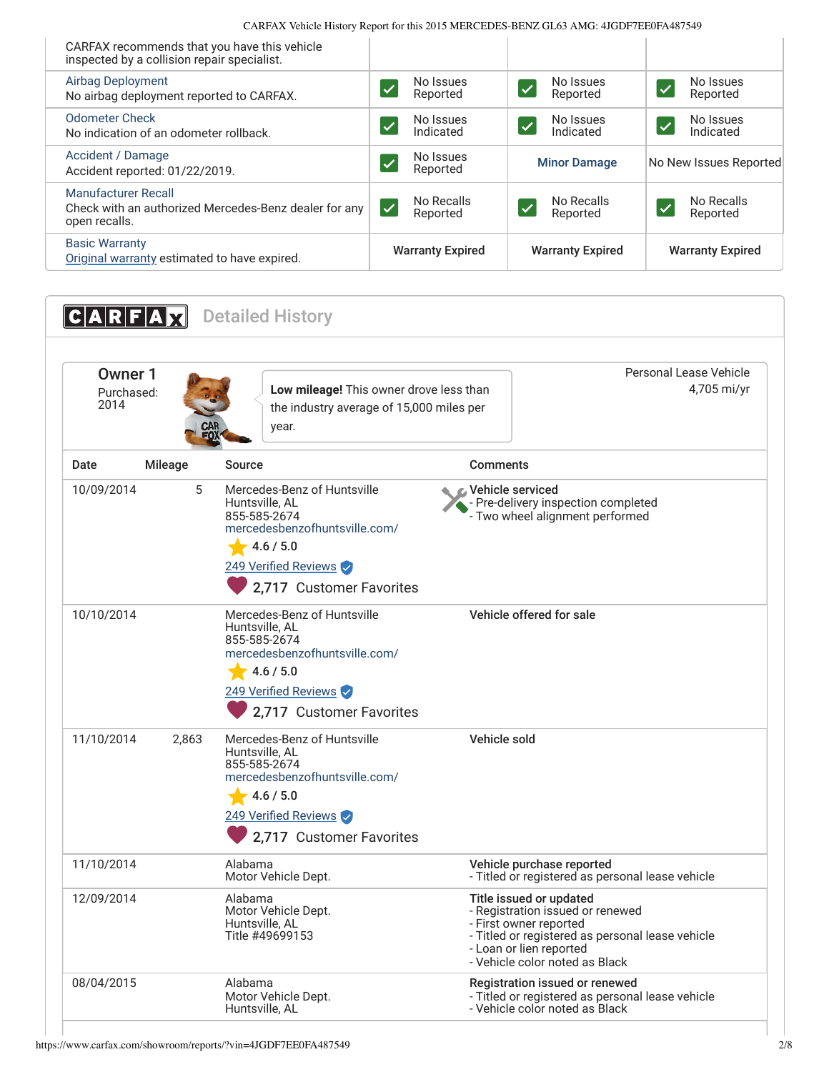| CARFAX recommends that you have this vehicle<br>inspected by a collision repair specialist.          |                                                |                                                      |                                        |
|------------------------------------------------------------------------------------------------------|------------------------------------------------|------------------------------------------------------|----------------------------------------|
| Airbag Deployment<br>No airbag deployment reported to CARFAX.                                        | No Issues<br>Reported                          | No Issues<br>$\checkmark$<br>Reported                | No Issues<br>Reported                  |
| <b>Odometer Check</b><br>No indication of an odometer rollback.                                      | No Issues<br>Indicated                         | No Issues<br>$\blacktriangledown$<br>Indicated       | No Issues<br>$\checkmark$<br>Indicated |
| Accident / Damage<br>Accident reported: 01/22/2019.                                                  | No Issues<br>V<br>Reported                     | <b>Minor Damage</b>                                  | No New Issues Reported                 |
| <b>Manufacturer Recall</b><br>Check with an authorized Mercedes-Benz dealer for any<br>open recalls. | No Recalls<br>$\blacktriangledown$<br>Reported | No Recalls<br>$\boldsymbol{\mathcal{J}}$<br>Reported | No Recalls<br>Reported                 |
| <b>Basic Warranty</b><br>Original warranty estimated to have expired.                                | <b>Warranty Expired</b>                        | <b>Warranty Expired</b>                              | <b>Warranty Expired</b>                |

<span id="page-1-0"></span>

| <b>Owner 1</b><br>2014 | Purchased:     | Low mileage! This owner drove less than<br>the industry average of 15,000 miles per<br><b>CAR</b><br>FOX<br>year.                                               | Personal Lease Vehicle<br>4,705 mi/yr                                                                                                                                                                  |
|------------------------|----------------|-----------------------------------------------------------------------------------------------------------------------------------------------------------------|--------------------------------------------------------------------------------------------------------------------------------------------------------------------------------------------------------|
| Date                   | <b>Mileage</b> | <b>Source</b>                                                                                                                                                   | <b>Comments</b>                                                                                                                                                                                        |
| 10/09/2014             | 5              | Mercedes-Benz of Huntsville<br>Huntsville, AL<br>855-585-2674<br>mercedesbenzofhuntsville.com/<br>4.6 / 5.0<br>249 Verified Reviews<br>2,717 Customer Favorites | Vehicle serviced<br>- Pre-delivery inspection completed<br>- Two wheel alignment performed                                                                                                             |
| 10/10/2014             |                | Mercedes-Benz of Huntsville<br>Huntsville, AL<br>855-585-2674<br>mercedesbenzofhuntsville.com/<br>4.6 / 5.0<br>249 Verified Reviews<br>2,717 Customer Favorites | Vehicle offered for sale                                                                                                                                                                               |
| 11/10/2014             | 2,863          | Mercedes-Benz of Huntsville<br>Huntsville, AL<br>855-585-2674<br>mercedesbenzofhuntsville.com/<br>4.6 / 5.0<br>249 Verified Reviews<br>2,717 Customer Favorites | Vehicle sold                                                                                                                                                                                           |
| 11/10/2014             |                | Alabama<br>Motor Vehicle Dept.                                                                                                                                  | Vehicle purchase reported<br>- Titled or registered as personal lease vehicle                                                                                                                          |
| 12/09/2014             |                | Alabama<br>Motor Vehicle Dept.<br>Huntsville, AL<br>Title #49699153                                                                                             | Title issued or updated<br>- Registration issued or renewed<br>- First owner reported<br>- Titled or registered as personal lease vehicle<br>- Loan or lien reported<br>- Vehicle color noted as Black |
| 08/04/2015             |                | Alabama<br>Motor Vehicle Dept.<br>Huntsville, AL                                                                                                                | Registration issued or renewed<br>- Titled or registered as personal lease vehicle<br>- Vehicle color noted as Black                                                                                   |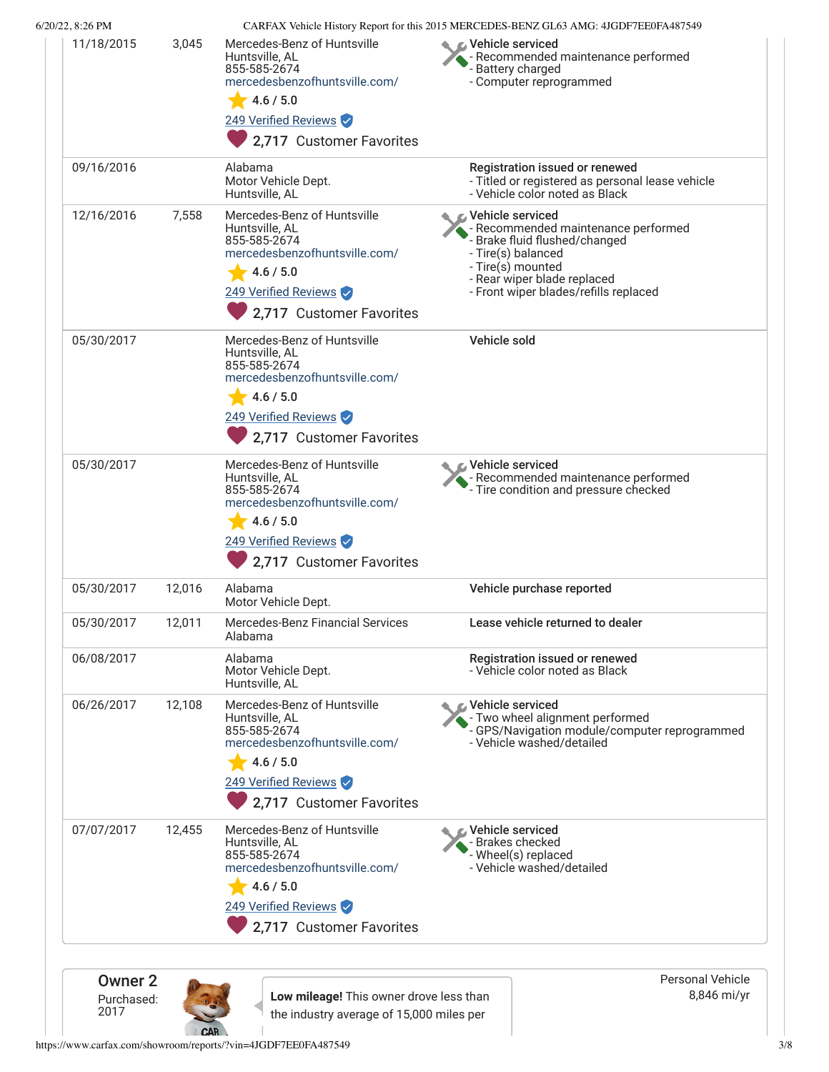| 6/20/22, 8:26 PM   |        |                                                                                                                                                                 |                      | CARFAX Vehicle History Report for this 2015 MERCEDES-BENZ GL63 AMG: 4JGDF7EE0FA487549                                                                                                   |
|--------------------|--------|-----------------------------------------------------------------------------------------------------------------------------------------------------------------|----------------------|-----------------------------------------------------------------------------------------------------------------------------------------------------------------------------------------|
| 11/18/2015         | 3,045  | Mercedes-Benz of Huntsville<br>Huntsville, AL<br>855-585-2674<br>mercedesbenzofhuntsville.com/<br>4.6 / 5.0<br>249 Verified Reviews<br>2,717 Customer Favorites | ic Vehicle serviced∡ | - Recommended maintenance performed<br>- Battery charged<br>- Computer reprogrammed                                                                                                     |
| 09/16/2016         |        | Alabama<br>Motor Vehicle Dept.<br>Huntsville, AL                                                                                                                |                      | Registration issued or renewed<br>- Titled or registered as personal lease vehicle<br>- Vehicle color noted as Black                                                                    |
| 12/16/2016         | 7,558  | Mercedes-Benz of Huntsville<br>Huntsville, AL<br>855-585-2674<br>mercedesbenzofhuntsville.com/<br>4.6 / 5.0<br>249 Verified Reviews<br>2,717 Customer Favorites | Vehicle serviced     | - Recommended maintenance performed<br>- Brake fluid flushed/changed<br>- Tire(s) balanced<br>- Tire(s) mounted<br>- Rear wiper blade replaced<br>- Front wiper blades/refills replaced |
| 05/30/2017         |        | Mercedes-Benz of Huntsville<br>Huntsville, AL<br>855-585-2674<br>mercedesbenzofhuntsville.com/<br>4.6 / 5.0<br>249 Verified Reviews<br>2,717 Customer Favorites | Vehicle sold         |                                                                                                                                                                                         |
| 05/30/2017         |        | Mercedes-Benz of Huntsville<br>Huntsville, AL<br>855-585-2674<br>mercedesbenzofhuntsville.com/<br>4.6 / 5.0<br>249 Verified Reviews<br>2,717 Customer Favorites | Vehicle serviced     | - Recommended maintenance performed<br>- Tire condition and pressure checked                                                                                                            |
| 05/30/2017         | 12,016 | Alabama<br>Motor Vehicle Dept.                                                                                                                                  |                      | Vehicle purchase reported                                                                                                                                                               |
| 05/30/2017         | 12,011 | Mercedes-Benz Financial Services<br>Alabama                                                                                                                     |                      | Lease vehicle returned to dealer                                                                                                                                                        |
| 06/08/2017         |        | Alabama<br>Motor Vehicle Dept.<br>Huntsville, AL                                                                                                                |                      | Registration issued or renewed<br>- Vehicle color noted as Black                                                                                                                        |
| 06/26/2017         | 12,108 | Mercedes-Benz of Huntsville<br>Huntsville, AL<br>855-585-2674<br>mercedesbenzofhuntsville.com/<br>4.6 / 5.0<br>249 Verified Reviews<br>2,717 Customer Favorites |                      | Vehicle serviced<br>- Two wheel alignment performed<br>- GPS/Navigation module/computer reprogrammed<br>- Vehicle washed/detailed                                                       |
| 07/07/2017         | 12,455 | Mercedes-Benz of Huntsville<br>Huntsville, AL<br>855-585-2674<br>mercedesbenzofhuntsville.com/<br>4.6 / 5.0<br>249 Verified Reviews<br>2,717 Customer Favorites |                      | Vehicle serviced<br>- Brakes checked<br>Wheel(s) replaced<br>- Vehicle washed/detailed                                                                                                  |
| <b>Owner 2</b>     |        |                                                                                                                                                                 |                      | <b>Personal Vehicle</b>                                                                                                                                                                 |
| Purchased:<br>2017 |        | Low mileage! This owner drove less than<br>the industry average of 15,000 miles per                                                                             |                      | 8,846 mi/yr                                                                                                                                                                             |

<span id="page-2-0"></span>https://www.carfax.com/showroom/reports/?vin=4JGDF7EE0FA487549 3/8

CAR

 $\begin{array}{c} \hline \end{array}$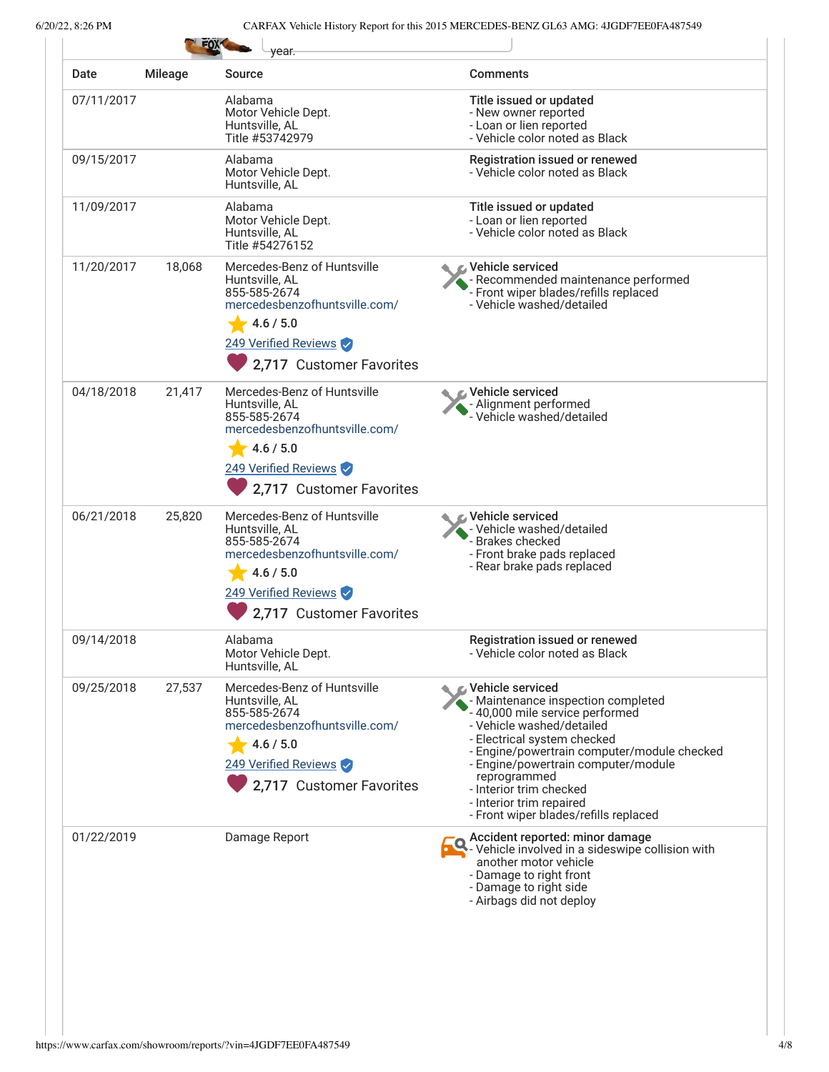# 6/20/22, 8:26 PM CARFAX Vehicle History Report for this 2015 MERCEDES-BENZ GL63 AMG: 4JGDF7EE0FA487549

| Date       | <b>Mileage</b> | <b>Source</b>                                                                                                                                                   | <b>Comments</b>                                                                                                                                                                                                                                                                                                                                             |
|------------|----------------|-----------------------------------------------------------------------------------------------------------------------------------------------------------------|-------------------------------------------------------------------------------------------------------------------------------------------------------------------------------------------------------------------------------------------------------------------------------------------------------------------------------------------------------------|
| 07/11/2017 |                | Alabama<br>Motor Vehicle Dept.<br>Huntsville, AL<br>Title #53742979                                                                                             | Title issued or updated<br>- New owner reported<br>- Loan or lien reported<br>- Vehicle color noted as Black                                                                                                                                                                                                                                                |
| 09/15/2017 |                | Alabama<br>Motor Vehicle Dept.<br>Huntsville, AL                                                                                                                | Registration issued or renewed<br>- Vehicle color noted as Black                                                                                                                                                                                                                                                                                            |
| 11/09/2017 |                | Alabama<br>Motor Vehicle Dept.<br>Huntsville, AL<br>Title #54276152                                                                                             | Title issued or updated<br>- Loan or lien reported<br>- Vehicle color noted as Black                                                                                                                                                                                                                                                                        |
| 11/20/2017 | 18,068         | Mercedes-Benz of Huntsville<br>Huntsville, AL<br>855-585-2674<br>mercedesbenzofhuntsville.com/<br>4.6 / 5.0<br>249 Verified Reviews<br>2,717 Customer Favorites | Vehicle serviced<br>- Recommended maintenance performed<br>- Front wiper blades/refills replaced<br>- Vehicle washed/detailed                                                                                                                                                                                                                               |
| 04/18/2018 | 21,417         | Mercedes-Benz of Huntsville<br>Huntsville, AL<br>855-585-2674<br>mercedesbenzofhuntsville.com/<br>4.6 / 5.0<br>249 Verified Reviews<br>2,717 Customer Favorites | Vehicle serviced<br>- Alignment performed<br>- Vehicle washed/detailed                                                                                                                                                                                                                                                                                      |
| 06/21/2018 | 25,820         | Mercedes-Benz of Huntsville<br>Huntsville, AL<br>855-585-2674<br>mercedesbenzofhuntsville.com/<br>4.6 / 5.0<br>249 Verified Reviews<br>2,717 Customer Favorites | Vehicle serviced<br>- Vehicle washed/detailed<br><b>Brakes checked</b><br>- Front brake pads replaced<br>- Rear brake pads replaced                                                                                                                                                                                                                         |
| 09/14/2018 |                | Alabama<br>Motor Vehicle Dept.<br>Huntsville, AL                                                                                                                | Registration issued or renewed<br>- Vehicle color noted as Black                                                                                                                                                                                                                                                                                            |
| 09/25/2018 | 27,537         | Mercedes-Benz of Huntsville<br>Huntsville, AL<br>855-585-2674<br>mercedesbenzofhuntsville.com/<br>4.6 / 5.0<br>249 Verified Reviews<br>2,717 Customer Favorites | Vehicle serviced<br>- Maintenance inspection completed<br>- 40,000 mile service performed<br>- Vehicle washed/detailed<br>- Electrical system checked<br>- Engine/powertrain computer/module checked<br>- Engine/powertrain computer/module<br>reprogrammed<br>- Interior trim checked<br>- Interior trim repaired<br>- Front wiper blades/refills replaced |
| 01/22/2019 |                | Damage Report                                                                                                                                                   | Accident reported: minor damage<br><b>A</b> - Vehicle involved in a sideswipe collision with<br>another motor vehicle<br>- Damage to right front<br>- Damage to right side<br>- Airbags did not deploy                                                                                                                                                      |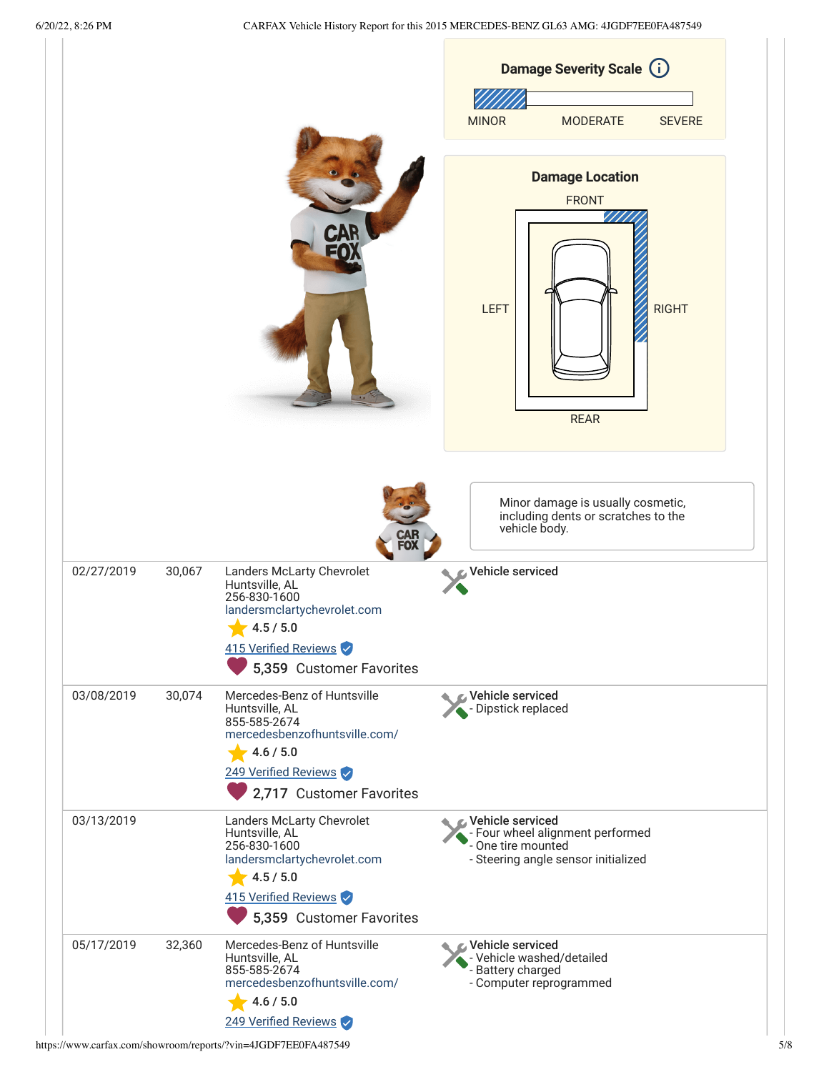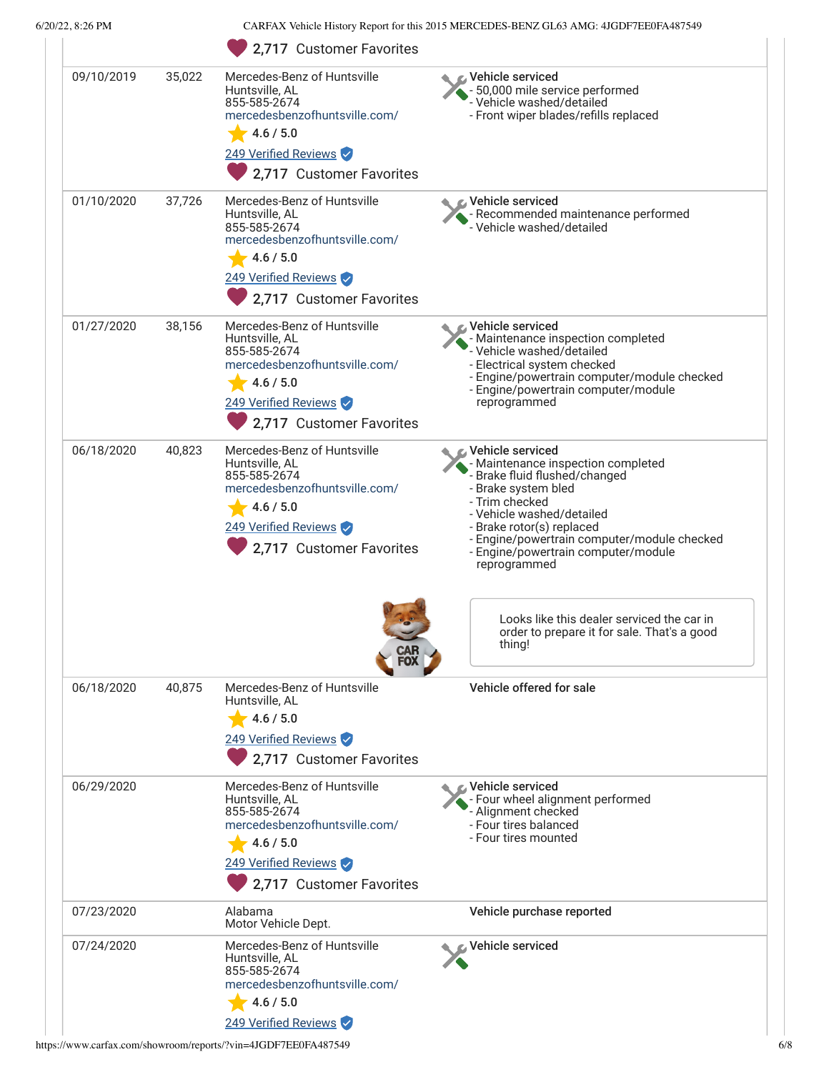| 6/20/22, 8:26 PM |        |                                                                                                                                                                 | CARFAX Vehicle History Report for this 2015 MERCEDES-BENZ GL63 AMG: 4JGDF7EE0FA487549                                                                                                                                                                                                                     |
|------------------|--------|-----------------------------------------------------------------------------------------------------------------------------------------------------------------|-----------------------------------------------------------------------------------------------------------------------------------------------------------------------------------------------------------------------------------------------------------------------------------------------------------|
|                  |        | 2,717 Customer Favorites                                                                                                                                        |                                                                                                                                                                                                                                                                                                           |
| 09/10/2019       | 35,022 | Mercedes-Benz of Huntsville<br>Huntsville, AL<br>855-585-2674<br>mercedesbenzofhuntsville.com/<br>4.6 / 5.0<br>249 Verified Reviews<br>2,717 Customer Favorites | Vehicle serviced<br>- 50,000 mile service performed<br>- Vehicle washed/detailed<br>- Front wiper blades/refills replaced                                                                                                                                                                                 |
| 01/10/2020       | 37,726 | Mercedes-Benz of Huntsville<br>Huntsville, AL<br>855-585-2674<br>mercedesbenzofhuntsville.com/<br>4.6 / 5.0<br>249 Verified Reviews<br>2,717 Customer Favorites | Vehicle serviced<br>- Recommended maintenance performed<br>- Vehicle washed/detailed                                                                                                                                                                                                                      |
| 01/27/2020       | 38,156 | Mercedes-Benz of Huntsville<br>Huntsville, AL<br>855-585-2674<br>mercedesbenzofhuntsville.com/<br>4.6 / 5.0<br>249 Verified Reviews<br>2,717 Customer Favorites | $\epsilon$ Vehicle serviced<br>- Maintenance inspection completed<br>- Vehicle washed/detailed<br>- Electrical system checked<br>- Engine/powertrain computer/module checked<br>- Engine/powertrain computer/module<br>reprogrammed                                                                       |
| 06/18/2020       | 40,823 | Mercedes-Benz of Huntsville<br>Huntsville, AL<br>855-585-2674<br>mercedesbenzofhuntsville.com/<br>4.6 / 5.0<br>249 Verified Reviews<br>2,717 Customer Favorites | <b>⊘</b> Vehicle serviced<br>- Maintenance inspection completed<br>- Brake fluid flushed/changed<br>- Brake system bled<br>- Trim checked<br>- Vehicle washed/detailed<br>- Brake rotor(s) replaced<br>- Engine/powertrain computer/module checked<br>- Engine/powertrain computer/module<br>reprogrammed |
|                  |        |                                                                                                                                                                 | Looks like this dealer serviced the car in<br>order to prepare it for sale. That's a good<br>thina!                                                                                                                                                                                                       |
| 06/18/2020       | 40,875 | Mercedes-Benz of Huntsville<br>Huntsville, AL<br>4.6 / 5.0<br>249 Verified Reviews<br>2,717 Customer Favorites                                                  | Vehicle offered for sale                                                                                                                                                                                                                                                                                  |
| 06/29/2020       |        | Mercedes-Benz of Huntsville<br>Huntsville, AL<br>855-585-2674<br>mercedesbenzofhuntsville.com/<br>4.6 / 5.0<br>249 Verified Reviews<br>2,717 Customer Favorites | <b>⊘</b> Vehicle serviced<br>- Four wheel alignment performed<br>- Alignment checked<br>- Four tires balanced<br>- Four tires mounted                                                                                                                                                                     |
| 07/23/2020       |        | Alabama<br>Motor Vehicle Dept.                                                                                                                                  | Vehicle purchase reported                                                                                                                                                                                                                                                                                 |
| 07/24/2020       |        | Mercedes-Benz of Huntsville<br>Huntsville, AL<br>855-585-2674<br>mercedesbenzofhuntsville.com/<br>4.6 / 5.0<br>249 Verified Reviews                             | Vehicle serviced                                                                                                                                                                                                                                                                                          |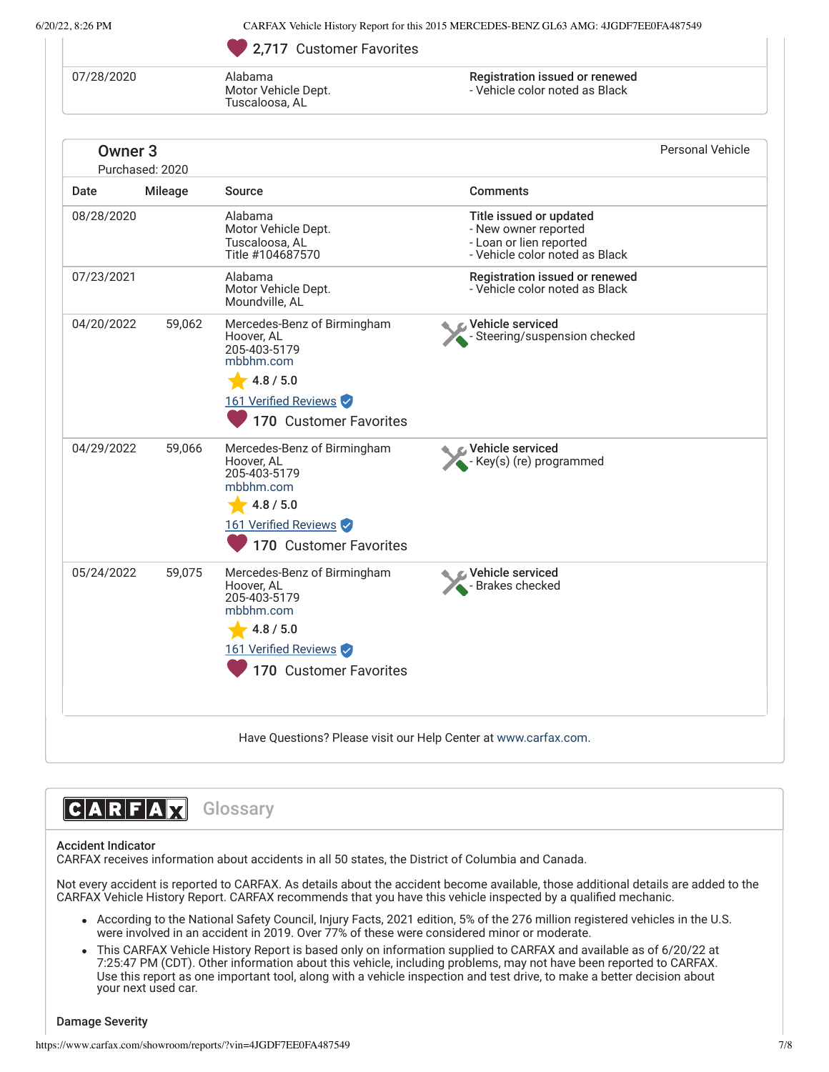6/20/22, 8:26 PM CARFAX Vehicle History Report for this 2015 MERCEDES-BENZ GL63 AMG: 4JGDF7EE0FA487549

| 07/28/2020         |                 | Alabama<br>Motor Vehicle Dept.<br>Tuscaloosa, AL                                                                                      | Registration issued or renewed<br>- Vehicle color noted as Black                                             |                         |
|--------------------|-----------------|---------------------------------------------------------------------------------------------------------------------------------------|--------------------------------------------------------------------------------------------------------------|-------------------------|
| Owner <sub>3</sub> | Purchased: 2020 |                                                                                                                                       |                                                                                                              | <b>Personal Vehicle</b> |
| Date               | <b>Mileage</b>  | Source                                                                                                                                | <b>Comments</b>                                                                                              |                         |
| 08/28/2020         |                 | Alabama<br>Motor Vehicle Dept.<br>Tuscaloosa, AL<br>Title #104687570                                                                  | Title issued or updated<br>- New owner reported<br>- Loan or lien reported<br>- Vehicle color noted as Black |                         |
| 07/23/2021         |                 | Alabama<br>Motor Vehicle Dept.<br>Moundville, AL                                                                                      | Registration issued or renewed<br>- Vehicle color noted as Black                                             |                         |
| 04/20/2022         | 59,062          | Mercedes-Benz of Birmingham<br>Hoover, AL<br>205-403-5179<br>mbbhm.com<br>4.8 / 5.0<br>161 Verified Reviews<br>170 Customer Favorites | Vehicle serviced<br>- Steering/suspension checked                                                            |                         |
| 04/29/2022         | 59,066          | Mercedes-Benz of Birmingham<br>Hoover, AL<br>205-403-5179<br>mbbhm.com<br>4.8 / 5.0<br>161 Verified Reviews<br>170 Customer Favorites | Vehicle serviced<br>- Key(s) (re) programmed                                                                 |                         |
| 05/24/2022         | 59,075          | Mercedes-Benz of Birmingham<br>Hoover, AL<br>205-403-5179<br>mbbhm.com<br>4.8 / 5.0<br>161 Verified Reviews<br>170 Customer Favorites | Vehicle serviced<br><b>Brakes checked</b>                                                                    |                         |

# **CARFAX** Glossary

### Accident Indicator

CARFAX receives information about accidents in all 50 states, the District of Columbia and Canada.

Not every accident is reported to CARFAX. As details about the accident become available, those additional details are added to the CARFAX Vehicle History Report. CARFAX recommends that you have this vehicle inspected by a qualified mechanic.

- According to the National Safety Council, Injury Facts, 2021 edition, 5% of the 276 million registered vehicles in the U.S. were involved in an accident in 2019. Over 77% of these were considered minor or moderate.
- This CARFAX Vehicle History Report is based only on information supplied to CARFAX and available as of 6/20/22 at 7:25:47 PM (CDT). Other information about this vehicle, including problems, may not have been reported to CARFAX. Use this report as one important tool, along with a vehicle inspection and test drive, to make a better decision about your next used car.

### Damage Severity